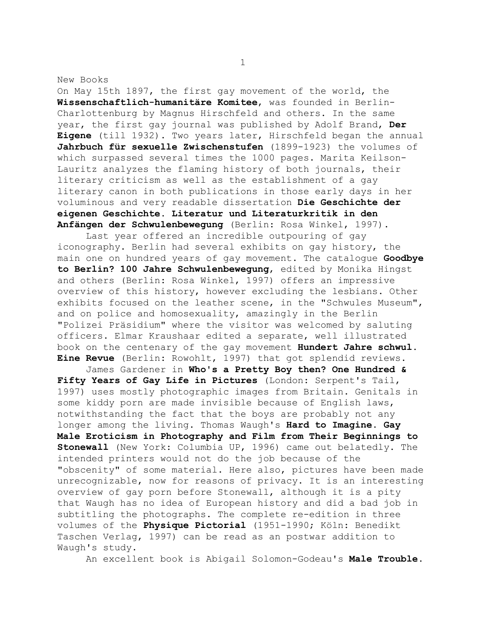On May 15th 1897, the first gay movement of the world, the **Wissenschaftlich-humanitäre Komitee**, was founded in Berlin-Charlottenburg by Magnus Hirschfeld and others. In the same year, the first gay journal was published by Adolf Brand, **Der Eigene** (till 1932). Two years later, Hirschfeld began the annual **Jahrbuch für sexuelle Zwischenstufen** (1899-1923) the volumes of which surpassed several times the 1000 pages. Marita Keilson-Lauritz analyzes the flaming history of both journals, their literary criticism as well as the establishment of a gay literary canon in both publications in those early days in her voluminous and very readable dissertation **Die Geschichte der eigenen Geschichte. Literatur und Literaturkritik in den Anfängen der Schwulenbewegung** (Berlin: Rosa Winkel, 1997).

 Last year offered an incredible outpouring of gay iconography. Berlin had several exhibits on gay history, the main one on hundred years of gay movement. The catalogue **Goodbye to Berlin? 100 Jahre Schwulenbewegung**, edited by Monika Hingst and others (Berlin: Rosa Winkel, 1997) offers an impressive overview of this history, however excluding the lesbians. Other exhibits focused on the leather scene, in the "Schwules Museum", and on police and homosexuality, amazingly in the Berlin "Polizei Präsidium" where the visitor was welcomed by saluting officers. Elmar Kraushaar edited a separate, well illustrated book on the centenary of the gay movement **Hundert Jahre schwul. Eine Revue** (Berlin: Rowohlt, 1997) that got splendid reviews.

 James Gardener in **Who's a Pretty Boy then? One Hundred & Fifty Years of Gay Life in Pictures** (London: Serpent's Tail, 1997) uses mostly photographic images from Britain. Genitals in some kiddy porn are made invisible because of English laws, notwithstanding the fact that the boys are probably not any longer among the living. Thomas Waugh's **Hard to Imagine. Gay Male Eroticism in Photography and Film from Their Beginnings to Stonewall** (New York: Columbia UP, 1996) came out belatedly. The intended printers would not do the job because of the "obscenity" of some material. Here also, pictures have been made unrecognizable, now for reasons of privacy. It is an interesting overview of gay porn before Stonewall, although it is a pity that Waugh has no idea of European history and did a bad job in subtitling the photographs. The complete re-edition in three volumes of the **Physique Pictorial** (1951-1990; Köln: Benedikt Taschen Verlag, 1997) can be read as an postwar addition to Waugh's study.

An excellent book is Abigail Solomon-Godeau's **Male Trouble.** 

1

New Books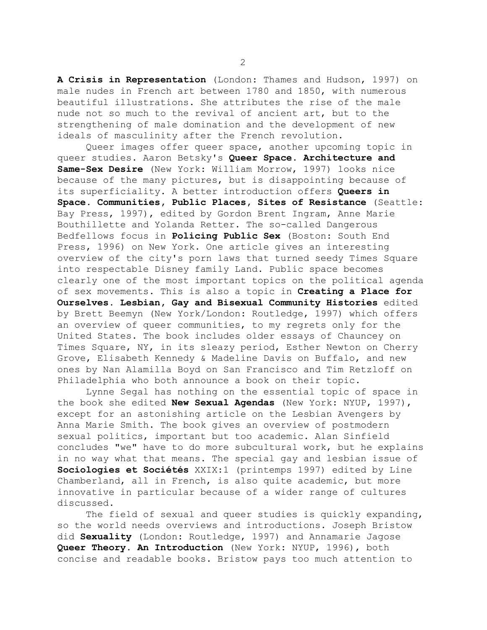**A Crisis in Representation** (London: Thames and Hudson, 1997) on male nudes in French art between 1780 and 1850, with numerous beautiful illustrations. She attributes the rise of the male nude not so much to the revival of ancient art, but to the strengthening of male domination and the development of new ideals of masculinity after the French revolution.

 Queer images offer queer space, another upcoming topic in queer studies. Aaron Betsky's **Queer Space. Architecture and Same-Sex Desire** (New York: William Morrow, 1997) looks nice because of the many pictures, but is disappointing because of its superficiality. A better introduction offers **Queers in Space. Communities, Public Places, Sites of Resistance** (Seattle: Bay Press, 1997), edited by Gordon Brent Ingram, Anne Marie Bouthillette and Yolanda Retter. The so-called Dangerous Bedfellows focus in **Policing Public Sex** (Boston: South End Press, 1996) on New York. One article gives an interesting overview of the city's porn laws that turned seedy Times Square into respectable Disney family Land. Public space becomes clearly one of the most important topics on the political agenda of sex movements. This is also a topic in **Creating a Place for Ourselves. Lesbian, Gay and Bisexual Community Histories** edited by Brett Beemyn (New York/London: Routledge, 1997) which offers an overview of queer communities, to my regrets only for the United States. The book includes older essays of Chauncey on Times Square, NY, in its sleazy period, Esther Newton on Cherry Grove, Elisabeth Kennedy & Madeline Davis on Buffalo, and new ones by Nan Alamilla Boyd on San Francisco and Tim Retzloff on Philadelphia who both announce a book on their topic.

 Lynne Segal has nothing on the essential topic of space in the book she edited **New Sexual Agendas** (New York: NYUP, 1997), except for an astonishing article on the Lesbian Avengers by Anna Marie Smith. The book gives an overview of postmodern sexual politics, important but too academic. Alan Sinfield concludes "we" have to do more subcultural work, but he explains in no way what that means. The special gay and lesbian issue of **Sociologies et Sociétés** XXIX:1 (printemps 1997) edited by Line Chamberland, all in French, is also quite academic, but more innovative in particular because of a wider range of cultures discussed.

 The field of sexual and queer studies is quickly expanding, so the world needs overviews and introductions. Joseph Bristow did **Sexuality** (London: Routledge, 1997) and Annamarie Jagose **Queer Theory. An Introduction** (New York: NYUP, 1996), both concise and readable books. Bristow pays too much attention to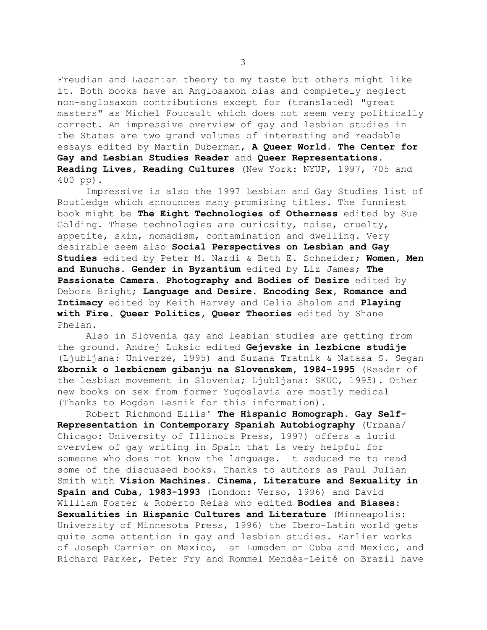Freudian and Lacanian theory to my taste but others might like it. Both books have an Anglosaxon bias and completely neglect non-anglosaxon contributions except for (translated) "great masters" as Michel Foucault which does not seem very politically correct. An impressive overview of gay and lesbian studies in the States are two grand volumes of interesting and readable essays edited by Martin Duberman, **A Queer World. The Center for Gay and Lesbian Studies Reader** and **Queer Representations. Reading Lives, Reading Cultures** (New York: NYUP, 1997, 705 and 400 pp).

 Impressive is also the 1997 Lesbian and Gay Studies list of Routledge which announces many promising titles. The funniest book might be **The Eight Technologies of Otherness** edited by Sue Golding. These technologies are curiosity, noise, cruelty, appetite, skin, nomadism, contamination and dwelling. Very desirable seem also **Social Perspectives on Lesbian and Gay Studies** edited by Peter M. Nardi & Beth E. Schneider; **Women, Men and Eunuchs. Gender in Byzantium** edited by Liz James; **The Passionate Camera. Photography and Bodies of Desire** edited by Debora Bright; **Language and Desire. Encoding Sex, Romance and Intimacy** edited by Keith Harvey and Celia Shalom and **Playing with Fire. Queer Politics, Queer Theories** edited by Shane Phelan.

 Also in Slovenia gay and lesbian studies are getting from the ground. Andrej Luksic edited **Gejevske in lezbicne studije** (Ljubljana: Univerze, 1995) and Suzana Tratnik & Natasa S. Segan **Zbornik o lezbicnem gibanju na Slovenskem, 1984-1995** (Reader of the lesbian movement in Slovenia; Ljubljana: SKUC, 1995). Other new books on sex from former Yugoslavia are mostly medical (Thanks to Bogdan Lesnik for this information).

 Robert Richmond Ellis' **The Hispanic Homograph. Gay Self-Representation in Contemporary Spanish Autobiography** (Urbana/ Chicago: University of Illinois Press, 1997) offers a lucid overview of gay writing in Spain that is very helpful for someone who does not know the language. It seduced me to read some of the discussed books. Thanks to authors as Paul Julian Smith with **Vision Machines. Cinema, Literature and Sexuality in Spain and Cuba, 1983-1993** (London: Verso, 1996) and David William Foster & Roberto Reiss who edited **Bodies and Biases: Sexualities in Hispanic Cultures and Literature** (Minneapolis: University of Minnesota Press, 1996) the Ibero-Latin world gets quite some attention in gay and lesbian studies. Earlier works of Joseph Carrier on Mexico, Ian Lumsden on Cuba and Mexico, and Richard Parker, Peter Fry and Rommel Mendès-Leité on Brazil have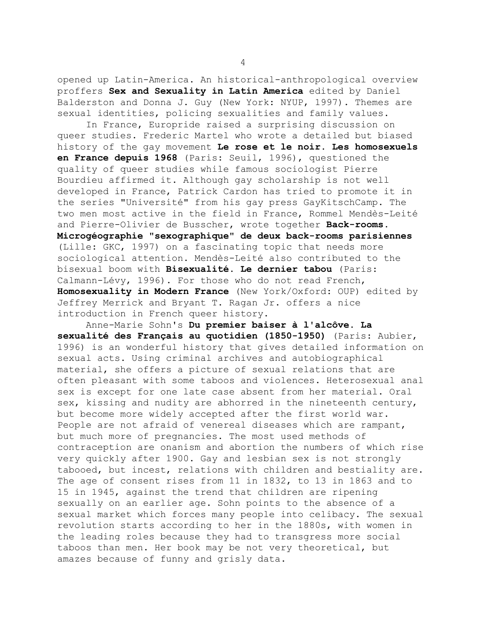opened up Latin-America. An historical-anthropological overview proffers **Sex and Sexuality in Latin America** edited by Daniel Balderston and Donna J. Guy (New York: NYUP, 1997). Themes are sexual identities, policing sexualities and family values.

 In France, Europride raised a surprising discussion on queer studies. Frederic Martel who wrote a detailed but biased history of the gay movement **Le rose et le noir. Les homosexuels en France depuis 1968** (Paris: Seuil, 1996), questioned the quality of queer studies while famous sociologist Pierre Bourdieu affirmed it. Although gay scholarship is not well developed in France, Patrick Cardon has tried to promote it in the series "Université" from his gay press GayKitschCamp. The two men most active in the field in France, Rommel Mendès-Leité and Pierre-Olivier de Busscher, wrote together **Back-rooms. Microgéographie "sexographique" de deux back-rooms parisiennes** (Lille: GKC, 1997) on a fascinating topic that needs more sociological attention. Mendès-Leité also contributed to the bisexual boom with **Bisexualité. Le dernier tabou** (Paris: Calmann-Lévy, 1996). For those who do not read French, **Homosexuality in Modern France** (New York/Oxford: OUP) edited by Jeffrey Merrick and Bryant T. Ragan Jr. offers a nice introduction in French queer history.

 Anne-Marie Sohn's **Du premier baiser à l'alcôve. La sexualité des Français au quotidien (1850-1950)** (Paris: Aubier, 1996) is an wonderful history that gives detailed information on sexual acts. Using criminal archives and autobiographical material, she offers a picture of sexual relations that are often pleasant with some taboos and violences. Heterosexual anal sex is except for one late case absent from her material. Oral sex, kissing and nudity are abhorred in the nineteenth century, but become more widely accepted after the first world war. People are not afraid of venereal diseases which are rampant, but much more of pregnancies. The most used methods of contraception are onanism and abortion the numbers of which rise very quickly after 1900. Gay and lesbian sex is not strongly tabooed, but incest, relations with children and bestiality are. The age of consent rises from 11 in 1832, to 13 in 1863 and to 15 in 1945, against the trend that children are ripening sexually on an earlier age. Sohn points to the absence of a sexual market which forces many people into celibacy. The sexual revolution starts according to her in the 1880s, with women in the leading roles because they had to transgress more social taboos than men. Her book may be not very theoretical, but amazes because of funny and grisly data.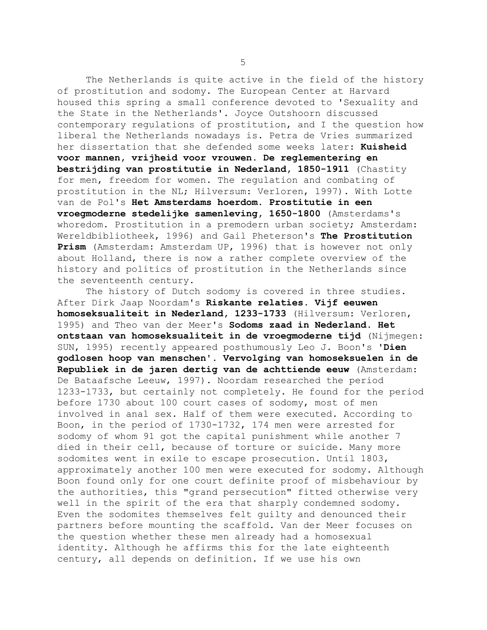The Netherlands is quite active in the field of the history of prostitution and sodomy. The European Center at Harvard housed this spring a small conference devoted to 'Sexuality and the State in the Netherlands'. Joyce Outshoorn discussed contemporary regulations of prostitution, and I the question how liberal the Netherlands nowadays is. Petra de Vries summarized her dissertation that she defended some weeks later: **Kuisheid voor mannen, vrijheid voor vrouwen. De reglementering en bestrijding van prostitutie in Nederland, 1850-1911** (Chastity for men, freedom for women. The regulation and combating of prostitution in the NL; Hilversum: Verloren, 1997). With Lotte van de Pol's **Het Amsterdams hoerdom. Prostitutie in een vroegmoderne stedelijke samenleving, 1650-1800** (Amsterdams's whoredom. Prostitution in a premodern urban society; Amsterdam: Wereldbibliotheek, 1996) and Gail Pheterson's **The Prostitution Prism** (Amsterdam: Amsterdam UP, 1996) that is however not only about Holland, there is now a rather complete overview of the history and politics of prostitution in the Netherlands since the seventeenth century.

 The history of Dutch sodomy is covered in three studies. After Dirk Jaap Noordam's **Riskante relaties. Vijf eeuwen homoseksualiteit in Nederland, 1233-1733** (Hilversum: Verloren, 1995) and Theo van der Meer's **Sodoms zaad in Nederland. Het ontstaan van homoseksualiteit in de vroegmoderne tijd** (Nijmegen: SUN, 1995) recently appeared posthumously Leo J. Boon's **'Dien godlosen hoop van menschen'. Vervolging van homoseksuelen in de Republiek in de jaren dertig van de achttiende eeuw** (Amsterdam: De Bataafsche Leeuw, 1997). Noordam researched the period 1233-1733, but certainly not completely. He found for the period before 1730 about 100 court cases of sodomy, most of men involved in anal sex. Half of them were executed. According to Boon, in the period of 1730-1732, 174 men were arrested for sodomy of whom 91 got the capital punishment while another 7 died in their cell, because of torture or suicide. Many more sodomites went in exile to escape prosecution. Until 1803, approximately another 100 men were executed for sodomy. Although Boon found only for one court definite proof of misbehaviour by the authorities, this "grand persecution" fitted otherwise very well in the spirit of the era that sharply condemned sodomy. Even the sodomites themselves felt guilty and denounced their partners before mounting the scaffold. Van der Meer focuses on the question whether these men already had a homosexual identity. Although he affirms this for the late eighteenth century, all depends on definition. If we use his own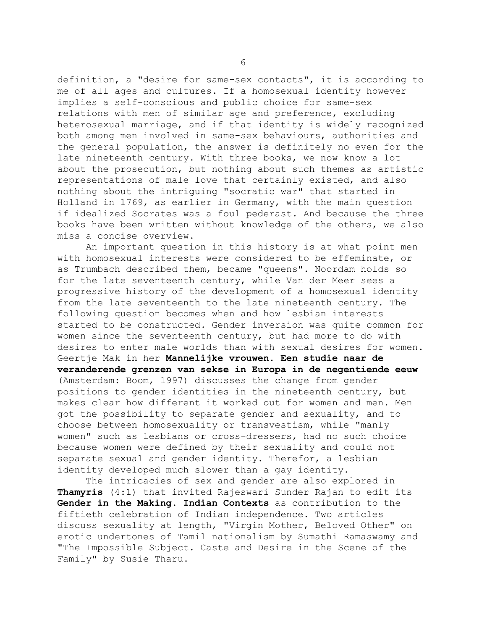definition, a "desire for same-sex contacts", it is according to me of all ages and cultures. If a homosexual identity however implies a self-conscious and public choice for same-sex relations with men of similar age and preference, excluding heterosexual marriage, and if that identity is widely recognized both among men involved in same-sex behaviours, authorities and the general population, the answer is definitely no even for the late nineteenth century. With three books, we now know a lot about the prosecution, but nothing about such themes as artistic representations of male love that certainly existed, and also nothing about the intriguing "socratic war" that started in Holland in 1769, as earlier in Germany, with the main question if idealized Socrates was a foul pederast. And because the three books have been written without knowledge of the others, we also miss a concise overview.

 An important question in this history is at what point men with homosexual interests were considered to be effeminate, or as Trumbach described them, became "queens". Noordam holds so for the late seventeenth century, while Van der Meer sees a progressive history of the development of a homosexual identity from the late seventeenth to the late nineteenth century. The following question becomes when and how lesbian interests started to be constructed. Gender inversion was quite common for women since the seventeenth century, but had more to do with desires to enter male worlds than with sexual desires for women. Geertje Mak in her **Mannelijke vrouwen. Een studie naar de veranderende grenzen van sekse in Europa in de negentiende eeuw** (Amsterdam: Boom, 1997) discusses the change from gender positions to gender identities in the nineteenth century, but makes clear how different it worked out for women and men. Men got the possibility to separate gender and sexuality, and to choose between homosexuality or transvestism, while "manly women" such as lesbians or cross-dressers, had no such choice because women were defined by their sexuality and could not separate sexual and gender identity. Therefor, a lesbian identity developed much slower than a gay identity.

 The intricacies of sex and gender are also explored in **Thamyris** (4:1) that invited Rajeswari Sunder Rajan to edit its **Gender in the Making. Indian Contexts** as contribution to the fiftieth celebration of Indian independence. Two articles discuss sexuality at length, "Virgin Mother, Beloved Other" on erotic undertones of Tamil nationalism by Sumathi Ramaswamy and "The Impossible Subject. Caste and Desire in the Scene of the Family" by Susie Tharu.